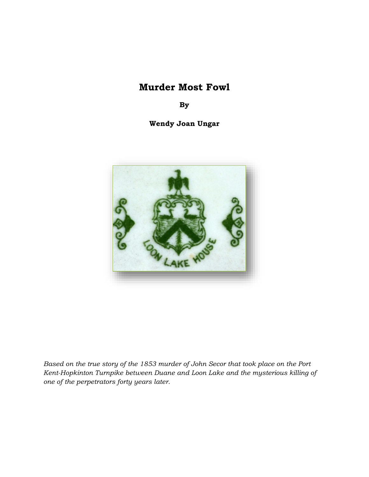# **Murder Most Fowl**

**By**

**Wendy Joan Ungar**



*Based on the true story of the 1853 murder of John Secor that took place on the Port Kent-Hopkinton Turnpike between Duane and Loon Lake and the mysterious killing of one of the perpetrators forty years later.*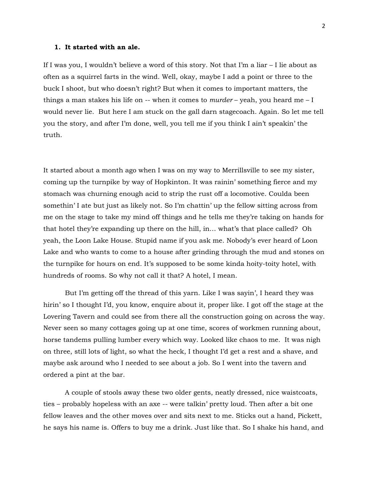#### **1. It started with an ale.**

If I was you, I wouldn't believe a word of this story. Not that I'm a liar – I lie about as often as a squirrel farts in the wind. Well, okay, maybe I add a point or three to the buck I shoot, but who doesn't right? But when it comes to important matters, the things a man stakes his life on -- when it comes to *murder* – yeah, you heard me – I would never lie. But here I am stuck on the gall darn stagecoach. Again. So let me tell you the story, and after I'm done, well, you tell me if you think I ain't speakin' the truth.

It started about a month ago when I was on my way to Merrillsville to see my sister, coming up the turnpike by way of Hopkinton. It was rainin' something fierce and my stomach was churning enough acid to strip the rust off a locomotive. Coulda been somethin' I ate but just as likely not. So I'm chattin' up the fellow sitting across from me on the stage to take my mind off things and he tells me they're taking on hands for that hotel they're expanding up there on the hill, in… what's that place called? Oh yeah, the Loon Lake House. Stupid name if you ask me. Nobody's ever heard of Loon Lake and who wants to come to a house after grinding through the mud and stones on the turnpike for hours on end. It's supposed to be some kinda hoity-toity hotel, with hundreds of rooms. So why not call it that? A hotel, I mean.

But I'm getting off the thread of this yarn. Like I was sayin', I heard they was hirin' so I thought I'd, you know, enquire about it, proper like. I got off the stage at the Lovering Tavern and could see from there all the construction going on across the way. Never seen so many cottages going up at one time, scores of workmen running about, horse tandems pulling lumber every which way. Looked like chaos to me. It was nigh on three, still lots of light, so what the heck, I thought I'd get a rest and a shave, and maybe ask around who I needed to see about a job. So I went into the tavern and ordered a pint at the bar.

A couple of stools away these two older gents, neatly dressed, nice waistcoats, ties – probably hopeless with an axe -- were talkin' pretty loud. Then after a bit one fellow leaves and the other moves over and sits next to me. Sticks out a hand, Pickett, he says his name is. Offers to buy me a drink. Just like that. So I shake his hand, and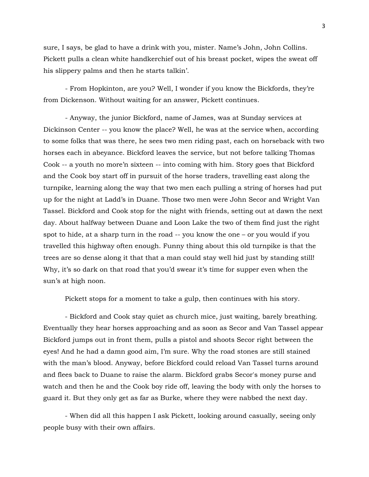sure, I says, be glad to have a drink with you, mister. Name's John, John Collins. Pickett pulls a clean white handkerchief out of his breast pocket, wipes the sweat off his slippery palms and then he starts talkin'.

- From Hopkinton, are you? Well, I wonder if you know the Bickfords, they're from Dickenson. Without waiting for an answer, Pickett continues.

- Anyway, the junior Bickford, name of James, was at Sunday services at Dickinson Center -- you know the place? Well, he was at the service when, according to some folks that was there, he sees two men riding past, each on horseback with two horses each in abeyance. Bickford leaves the service, but not before talking Thomas Cook -- a youth no more'n sixteen -- into coming with him. Story goes that Bickford and the Cook boy start off in pursuit of the horse traders, travelling east along the turnpike, learning along the way that two men each pulling a string of horses had put up for the night at Ladd's in Duane. Those two men were John Secor and Wright Van Tassel. Bickford and Cook stop for the night with friends, setting out at dawn the next day. About halfway between Duane and Loon Lake the two of them find just the right spot to hide, at a sharp turn in the road -- you know the one – or you would if you travelled this highway often enough. Funny thing about this old turnpike is that the trees are so dense along it that that a man could stay well hid just by standing still! Why, it's so dark on that road that you'd swear it's time for supper even when the sun's at high noon.

Pickett stops for a moment to take a gulp, then continues with his story.

- Bickford and Cook stay quiet as church mice, just waiting, barely breathing. Eventually they hear horses approaching and as soon as Secor and Van Tassel appear Bickford jumps out in front them, pulls a pistol and shoots Secor right between the eyes! And he had a damn good aim, I'm sure. Why the road stones are still stained with the man's blood. Anyway, before Bickford could reload Van Tassel turns around and flees back to Duane to raise the alarm. Bickford grabs Secor's money purse and watch and then he and the Cook boy ride off, leaving the body with only the horses to guard it. But they only get as far as Burke, where they were nabbed the next day.

- When did all this happen I ask Pickett, looking around casually, seeing only people busy with their own affairs.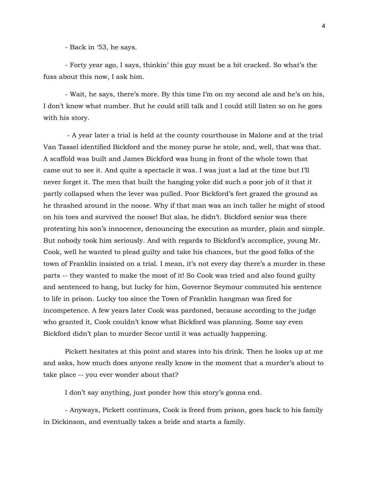- Back in '53, he says.

- Forty year ago, I says, thinkin' this guy must be a bit cracked. So what's the fuss about this now, I ask him.

- Wait, he says, there's more. By this time I'm on my second ale and he's on his, I don't know what number. But he could still talk and I could still listen so on he goes with his story.

- A year later a trial is held at the county courthouse in Malone and at the trial Van Tassel identified Bickford and the money purse he stole, and, well, that was that. A scaffold was built and James Bickford was hung in front of the whole town that came out to see it. And quite a spectacle it was. I was just a lad at the time but I'll never forget it. The men that built the hanging yoke did such a poor job of it that it partly collapsed when the lever was pulled. Poor Bickford's feet grazed the ground as he thrashed around in the noose. Why if that man was an inch taller he might of stood on his toes and survived the noose! But alas, he didn't. Bickford senior was there protesting his son's innocence, denouncing the execution as murder, plain and simple. But nobody took him seriously. And with regards to Bickford's accomplice, young Mr. Cook, well he wanted to plead guilty and take his chances, but the good folks of the town of Franklin insisted on a trial. I mean, it's not every day there's a murder in these parts -- they wanted to make the most of it! So Cook was tried and also found guilty and sentenced to hang, but lucky for him, Governor Seymour commuted his sentence to life in prison. Lucky too since the Town of Franklin hangman was fired for incompetence. A few years later Cook was pardoned, because according to the judge who granted it, Cook couldn't know what Bickford was planning. Some say even Bickford didn't plan to murder Secor until it was actually happening.

Pickett hesitates at this point and stares into his drink. Then he looks up at me and asks, how much does anyone really know in the moment that a murder's about to take place -- you ever wonder about that?

I don't say anything, just ponder how this story's gonna end.

- Anyways, Pickett continues, Cook is freed from prison, goes back to his family in Dickinson, and eventually takes a bride and starts a family.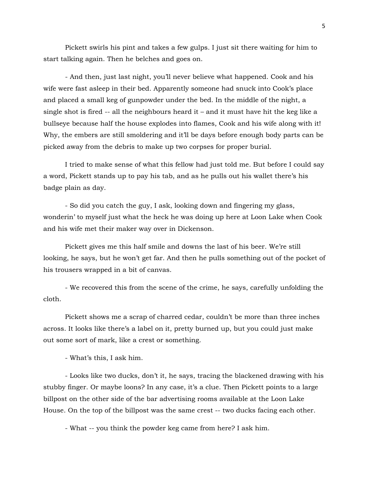Pickett swirls his pint and takes a few gulps. I just sit there waiting for him to start talking again. Then he belches and goes on.

- And then, just last night, you'll never believe what happened. Cook and his wife were fast asleep in their bed. Apparently someone had snuck into Cook's place and placed a small keg of gunpowder under the bed. In the middle of the night, a single shot is fired  $-$ - all the neighbours heard it – and it must have hit the keg like a bullseye because half the house explodes into flames, Cook and his wife along with it! Why, the embers are still smoldering and it'll be days before enough body parts can be picked away from the debris to make up two corpses for proper burial.

I tried to make sense of what this fellow had just told me. But before I could say a word, Pickett stands up to pay his tab, and as he pulls out his wallet there's his badge plain as day.

- So did you catch the guy, I ask, looking down and fingering my glass, wonderin' to myself just what the heck he was doing up here at Loon Lake when Cook and his wife met their maker way over in Dickenson.

Pickett gives me this half smile and downs the last of his beer. We're still looking, he says, but he won't get far. And then he pulls something out of the pocket of his trousers wrapped in a bit of canvas.

- We recovered this from the scene of the crime, he says, carefully unfolding the cloth.

Pickett shows me a scrap of charred cedar, couldn't be more than three inches across. It looks like there's a label on it, pretty burned up, but you could just make out some sort of mark, like a crest or something.

- What's this, I ask him.

- Looks like two ducks, don't it, he says, tracing the blackened drawing with his stubby finger. Or maybe loons? In any case, it's a clue. Then Pickett points to a large billpost on the other side of the bar advertising rooms available at the Loon Lake House. On the top of the billpost was the same crest -- two ducks facing each other.

- What -- you think the powder keg came from here? I ask him.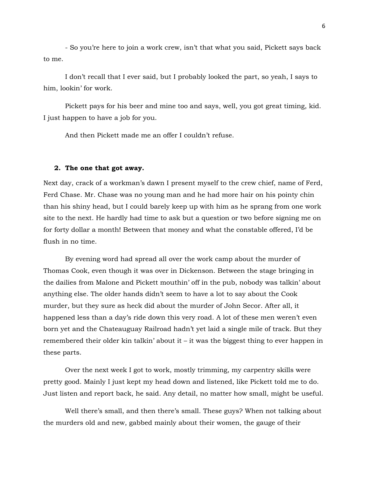- So you're here to join a work crew, isn't that what you said, Pickett says back to me.

I don't recall that I ever said, but I probably looked the part, so yeah, I says to him, lookin' for work.

Pickett pays for his beer and mine too and says, well, you got great timing, kid. I just happen to have a job for you.

And then Pickett made me an offer I couldn't refuse.

#### **2. The one that got away.**

Next day, crack of a workman's dawn I present myself to the crew chief, name of Ferd, Ferd Chase. Mr. Chase was no young man and he had more hair on his pointy chin than his shiny head, but I could barely keep up with him as he sprang from one work site to the next. He hardly had time to ask but a question or two before signing me on for forty dollar a month! Between that money and what the constable offered, I'd be flush in no time.

By evening word had spread all over the work camp about the murder of Thomas Cook, even though it was over in Dickenson. Between the stage bringing in the dailies from Malone and Pickett mouthin' off in the pub, nobody was talkin' about anything else. The older hands didn't seem to have a lot to say about the Cook murder, but they sure as heck did about the murder of John Secor. After all, it happened less than a day's ride down this very road. A lot of these men weren't even born yet and the Chateauguay Railroad hadn't yet laid a single mile of track. But they remembered their older kin talkin' about it – it was the biggest thing to ever happen in these parts.

Over the next week I got to work, mostly trimming, my carpentry skills were pretty good. Mainly I just kept my head down and listened, like Pickett told me to do. Just listen and report back, he said. Any detail, no matter how small, might be useful.

Well there's small, and then there's small. These guys? When not talking about the murders old and new, gabbed mainly about their women, the gauge of their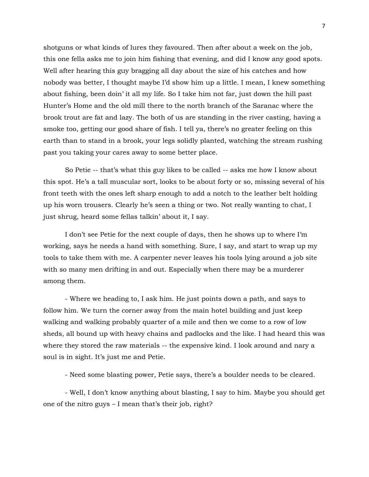shotguns or what kinds of lures they favoured. Then after about a week on the job, this one fella asks me to join him fishing that evening, and did I know any good spots. Well after hearing this guy bragging all day about the size of his catches and how nobody was better, I thought maybe I'd show him up a little. I mean, I knew something about fishing, been doin' it all my life. So I take him not far, just down the hill past Hunter's Home and the old mill there to the north branch of the Saranac where the brook trout are fat and lazy. The both of us are standing in the river casting, having a smoke too, getting our good share of fish. I tell ya, there's no greater feeling on this earth than to stand in a brook, your legs solidly planted, watching the stream rushing past you taking your cares away to some better place.

So Petie -- that's what this guy likes to be called -- asks me how I know about this spot. He's a tall muscular sort, looks to be about forty or so, missing several of his front teeth with the ones left sharp enough to add a notch to the leather belt holding up his worn trousers. Clearly he's seen a thing or two. Not really wanting to chat, I just shrug, heard some fellas talkin' about it, I say.

I don't see Petie for the next couple of days, then he shows up to where I'm working, says he needs a hand with something. Sure, I say, and start to wrap up my tools to take them with me. A carpenter never leaves his tools lying around a job site with so many men drifting in and out. Especially when there may be a murderer among them.

- Where we heading to, I ask him. He just points down a path, and says to follow him. We turn the corner away from the main hotel building and just keep walking and walking probably quarter of a mile and then we come to a row of low sheds, all bound up with heavy chains and padlocks and the like. I had heard this was where they stored the raw materials -- the expensive kind. I look around and nary a soul is in sight. It's just me and Petie.

- Need some blasting power, Petie says, there's a boulder needs to be cleared.

- Well, I don't know anything about blasting, I say to him. Maybe you should get one of the nitro guys – I mean that's their job, right?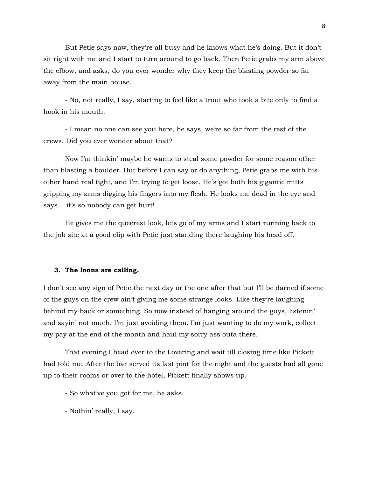But Petie says naw, they're all busy and he knows what he's doing. But it don't sit right with me and I start to turn around to go back. Then Petie grabs my arm above the elbow, and asks, do you ever wonder why they keep the blasting powder so far away from the main house.

- No, not really, I say, starting to feel like a trout who took a bite only to find a hook in his mouth.

- I mean no one can see you here, he says, we're so far from the rest of the crews. Did you ever wonder about that?

Now I'm thinkin' maybe he wants to steal some powder for some reason other than blasting a boulder. But before I can say or do anything, Petie grabs me with his other hand real tight, and I'm trying to get loose. He's got both his gigantic mitts gripping my arms digging his fingers into my flesh. He looks me dead in the eye and says… it's so nobody can get hurt!

He gives me the queerest look, lets go of my arms and I start running back to the job site at a good clip with Petie just standing there laughing his head off.

### **3. The loons are calling.**

I don't see any sign of Petie the next day or the one after that but I'll be darned if some of the guys on the crew ain't giving me some strange looks. Like they're laughing behind my back or something. So now instead of hanging around the guys, listenin' and sayin' not much, I'm just avoiding them. I'm just wanting to do my work, collect my pay at the end of the month and haul my sorry ass outa there.

That evening I head over to the Lovering and wait till closing time like Pickett had told me. After the bar served its last pint for the night and the guests had all gone up to their rooms or over to the hotel, Pickett finally shows up.

- So what've you got for me, he asks.

- Nothin' really, I say.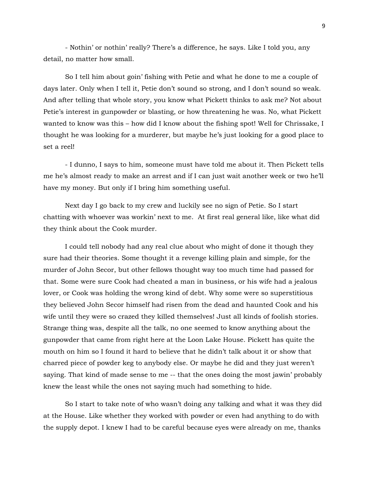- Nothin' or nothin' really? There's a difference, he says. Like I told you, any detail, no matter how small.

So I tell him about goin' fishing with Petie and what he done to me a couple of days later. Only when I tell it, Petie don't sound so strong, and I don't sound so weak. And after telling that whole story, you know what Pickett thinks to ask me? Not about Petie's interest in gunpowder or blasting, or how threatening he was. No, what Pickett wanted to know was this – how did I know about the fishing spot! Well for Chrissake, I thought he was looking for a murderer, but maybe he's just looking for a good place to set a reel!

- I dunno, I says to him, someone must have told me about it. Then Pickett tells me he's almost ready to make an arrest and if I can just wait another week or two he'll have my money. But only if I bring him something useful.

Next day I go back to my crew and luckily see no sign of Petie. So I start chatting with whoever was workin' next to me. At first real general like, like what did they think about the Cook murder.

I could tell nobody had any real clue about who might of done it though they sure had their theories. Some thought it a revenge killing plain and simple, for the murder of John Secor, but other fellows thought way too much time had passed for that. Some were sure Cook had cheated a man in business, or his wife had a jealous lover, or Cook was holding the wrong kind of debt. Why some were so superstitious they believed John Secor himself had risen from the dead and haunted Cook and his wife until they were so crazed they killed themselves! Just all kinds of foolish stories. Strange thing was, despite all the talk, no one seemed to know anything about the gunpowder that came from right here at the Loon Lake House. Pickett has quite the mouth on him so I found it hard to believe that he didn't talk about it or show that charred piece of powder keg to anybody else. Or maybe he did and they just weren't saying. That kind of made sense to me -- that the ones doing the most jawin' probably knew the least while the ones not saying much had something to hide.

So I start to take note of who wasn't doing any talking and what it was they did at the House. Like whether they worked with powder or even had anything to do with the supply depot. I knew I had to be careful because eyes were already on me, thanks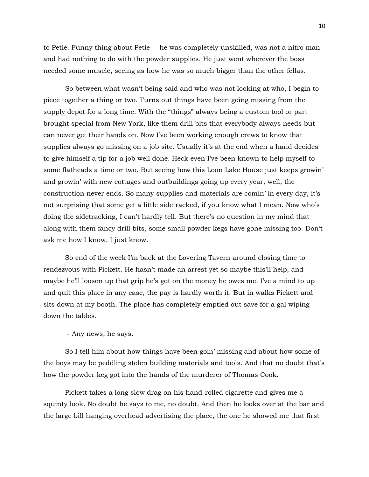to Petie. Funny thing about Petie -- he was completely unskilled, was not a nitro man and had nothing to do with the powder supplies. He just went wherever the boss needed some muscle, seeing as how he was so much bigger than the other fellas.

So between what wasn't being said and who was not looking at who, I begin to piece together a thing or two. Turns out things have been going missing from the supply depot for a long time. With the "things" always being a custom tool or part brought special from New York, like them drill bits that everybody always needs but can never get their hands on. Now I've been working enough crews to know that supplies always go missing on a job site. Usually it's at the end when a hand decides to give himself a tip for a job well done. Heck even I've been known to help myself to some flatheads a time or two. But seeing how this Loon Lake House just keeps growin' and growin' with new cottages and outbuildings going up every year, well, the construction never ends. So many supplies and materials are comin' in every day, it's not surprising that some get a little sidetracked, if you know what I mean. Now who's doing the sidetracking, I can't hardly tell. But there's no question in my mind that along with them fancy drill bits, some small powder kegs have gone missing too. Don't ask me how I know, I just know.

So end of the week I'm back at the Lovering Tavern around closing time to rendezvous with Pickett. He hasn't made an arrest yet so maybe this'll help, and maybe he'll loosen up that grip he's got on the money he owes me. I've a mind to up and quit this place in any case, the pay is hardly worth it. But in walks Pickett and sits down at my booth. The place has completely emptied out save for a gal wiping down the tables.

- Any news, he says.

So I tell him about how things have been goin' missing and about how some of the boys may be peddling stolen building materials and tools. And that no doubt that's how the powder keg got into the hands of the murderer of Thomas Cook.

Pickett takes a long slow drag on his hand-rolled cigarette and gives me a squinty look. No doubt he says to me, no doubt. And then he looks over at the bar and the large bill hanging overhead advertising the place, the one he showed me that first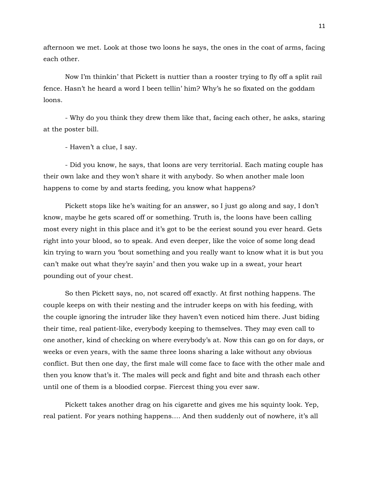afternoon we met. Look at those two loons he says, the ones in the coat of arms, facing each other.

Now I'm thinkin' that Pickett is nuttier than a rooster trying to fly off a split rail fence. Hasn't he heard a word I been tellin' him? Why's he so fixated on the goddam loons.

- Why do you think they drew them like that, facing each other, he asks, staring at the poster bill.

- Haven't a clue, I say.

- Did you know, he says, that loons are very territorial. Each mating couple has their own lake and they won't share it with anybody. So when another male loon happens to come by and starts feeding, you know what happens?

Pickett stops like he's waiting for an answer, so I just go along and say, I don't know, maybe he gets scared off or something. Truth is, the loons have been calling most every night in this place and it's got to be the eeriest sound you ever heard. Gets right into your blood, so to speak. And even deeper, like the voice of some long dead kin trying to warn you 'bout something and you really want to know what it is but you can't make out what they're sayin' and then you wake up in a sweat, your heart pounding out of your chest.

So then Pickett says, no, not scared off exactly. At first nothing happens. The couple keeps on with their nesting and the intruder keeps on with his feeding, with the couple ignoring the intruder like they haven't even noticed him there. Just biding their time, real patient-like, everybody keeping to themselves. They may even call to one another, kind of checking on where everybody's at. Now this can go on for days, or weeks or even years, with the same three loons sharing a lake without any obvious conflict. But then one day, the first male will come face to face with the other male and then you know that's it. The males will peck and fight and bite and thrash each other until one of them is a bloodied corpse. Fiercest thing you ever saw.

Pickett takes another drag on his cigarette and gives me his squinty look. Yep, real patient. For years nothing happens…. And then suddenly out of nowhere, it's all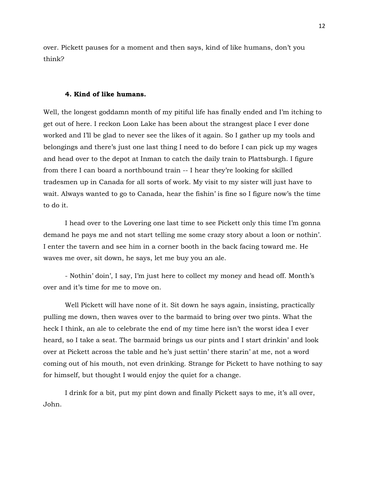over. Pickett pauses for a moment and then says, kind of like humans, don't you think?

## **4. Kind of like humans.**

Well, the longest goddamn month of my pitiful life has finally ended and I'm itching to get out of here. I reckon Loon Lake has been about the strangest place I ever done worked and I'll be glad to never see the likes of it again. So I gather up my tools and belongings and there's just one last thing I need to do before I can pick up my wages and head over to the depot at Inman to catch the daily train to Plattsburgh. I figure from there I can board a northbound train -- I hear they're looking for skilled tradesmen up in Canada for all sorts of work. My visit to my sister will just have to wait. Always wanted to go to Canada, hear the fishin' is fine so I figure now's the time to do it.

I head over to the Lovering one last time to see Pickett only this time I'm gonna demand he pays me and not start telling me some crazy story about a loon or nothin'. I enter the tavern and see him in a corner booth in the back facing toward me. He waves me over, sit down, he says, let me buy you an ale.

- Nothin' doin', I say, I'm just here to collect my money and head off. Month's over and it's time for me to move on.

Well Pickett will have none of it. Sit down he says again, insisting, practically pulling me down, then waves over to the barmaid to bring over two pints. What the heck I think, an ale to celebrate the end of my time here isn't the worst idea I ever heard, so I take a seat. The barmaid brings us our pints and I start drinkin' and look over at Pickett across the table and he's just settin' there starin' at me, not a word coming out of his mouth, not even drinking. Strange for Pickett to have nothing to say for himself, but thought I would enjoy the quiet for a change.

I drink for a bit, put my pint down and finally Pickett says to me, it's all over, John.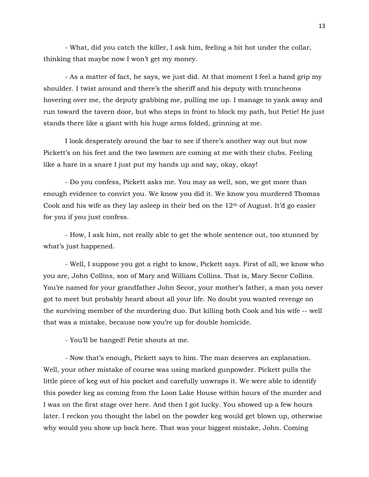- What, did you catch the killer, I ask him, feeling a bit hot under the collar, thinking that maybe now I won't get my money.

- As a matter of fact, he says, we just did. At that moment I feel a hand grip my shoulder. I twist around and there's the sheriff and his deputy with truncheons hovering over me, the deputy grabbing me, pulling me up. I manage to yank away and run toward the tavern door, but who steps in front to block my path, but Petie! He just stands there like a giant with his huge arms folded, grinning at me.

I look desperately around the bar to see if there's another way out but now Pickett's on his feet and the two lawmen are coming at me with their clubs. Feeling like a hare in a snare I just put my hands up and say, okay, okay!

- Do you confess, Pickett asks me. You may as well, son, we got more than enough evidence to convict you. We know you did it. We know you murdered Thomas Cook and his wife as they lay asleep in their bed on the  $12<sup>th</sup>$  of August. It'd go easier for you if you just confess.

- How, I ask him, not really able to get the whole sentence out, too stunned by what's just happened.

- Well, I suppose you got a right to know, Pickett says. First of all, we know who you are, John Collins, son of Mary and William Collins. That is, Mary Secor Collins. You're named for your grandfather John Secor, your mother's father, a man you never got to meet but probably heard about all your life. No doubt you wanted revenge on the surviving member of the murdering duo. But killing both Cook and his wife -- well that was a mistake, because now you're up for double homicide.

- You'll be hanged! Petie shouts at me.

- Now that's enough, Pickett says to him. The man deserves an explanation. Well, your other mistake of course was using marked gunpowder. Pickett pulls the little piece of keg out of his pocket and carefully unwraps it. We were able to identify this powder keg as coming from the Loon Lake House within hours of the murder and I was on the first stage over here. And then I got lucky. You showed up a few hours later. I reckon you thought the label on the powder keg would get blown up, otherwise why would you show up back here. That was your biggest mistake, John. Coming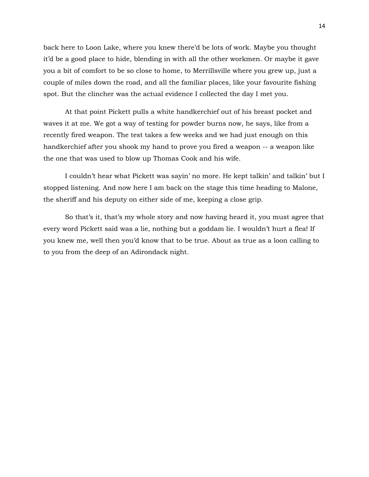back here to Loon Lake, where you knew there'd be lots of work. Maybe you thought it'd be a good place to hide, blending in with all the other workmen. Or maybe it gave you a bit of comfort to be so close to home, to Merrillsville where you grew up, just a couple of miles down the road, and all the familiar places, like your favourite fishing spot. But the clincher was the actual evidence I collected the day I met you.

At that point Pickett pulls a white handkerchief out of his breast pocket and waves it at me. We got a way of testing for powder burns now, he says, like from a recently fired weapon. The test takes a few weeks and we had just enough on this handkerchief after you shook my hand to prove you fired a weapon -- a weapon like the one that was used to blow up Thomas Cook and his wife.

I couldn't hear what Pickett was sayin' no more. He kept talkin' and talkin' but I stopped listening. And now here I am back on the stage this time heading to Malone, the sheriff and his deputy on either side of me, keeping a close grip.

So that's it, that's my whole story and now having heard it, you must agree that every word Pickett said was a lie, nothing but a goddam lie. I wouldn't hurt a flea! If you knew me, well then you'd know that to be true. About as true as a loon calling to to you from the deep of an Adirondack night.